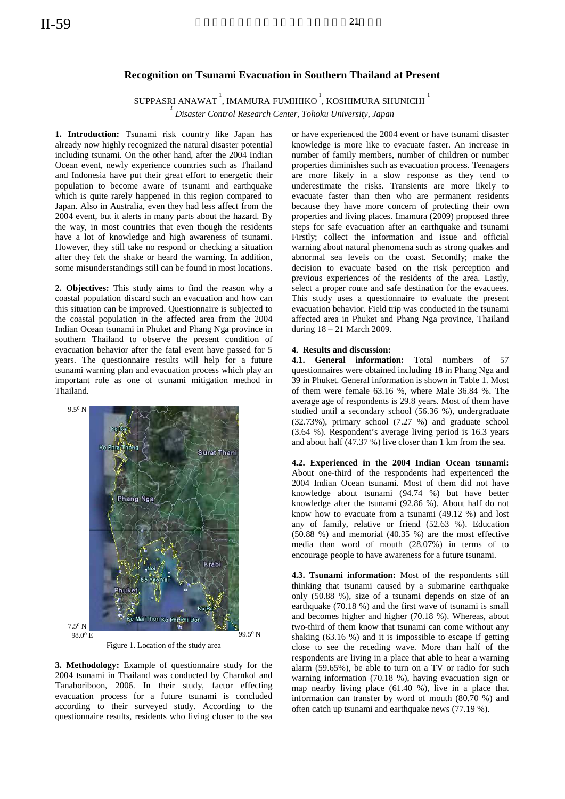## **Recognition on Tsunami Evacuation in Southern Thailand at Present**

SUPPASRI ANAWAT<sup>1</sup>, IMAMURA FUMIHIKO<sup>1</sup>, KOSHIMURA SHUNICHI<sup>1</sup>

 *Disaster Control Research Center, Tohoku University, Japan* 

1. Introduction: Tsunami risk country like Japan has already now highly recognized the natural disaster potential including tsunami. On the other hand, after the 2004 Indian Ocean event, newly experience countries such as Thailand and Indonesia have put their great effort to energetic their population to become aware of tsunami and earthquake which is quite rarely happened in this region compared to Japan. Also in Australia, even they had less affect from the 2004 event, but it alerts in many parts about the hazard. By the way, in most countries that even though the residents have a lot of knowledge and high awareness of tsunami. However, they still take no respond or checking a situation after they felt the shake or heard the warning. In addition, some misunderstandings still can be found in most locations.

**2. Objectives:** This study aims to find the reason why a coastal population discard such an evacuation and how can this situation can be improved. Questionnaire is subjected to the coastal population in the affected area from the 2004 Indian Ocean tsunami in Phuket and Phang Nga province in southern Thailand to observe the present condition of evacuation behavior after the fatal event have passed for 5 years. The questionnaire results will help for a future tsunami warning plan and evacuation process which play an important role as one of tsunami mitigation method in Thailand.



Figure 1. Location of the study area

**3. Methodology:** Example of questionnaire study for the 2004 tsunami in Thailand was conducted by Charnkol and Tanaboriboon, 2006. In their study, factor effecting evacuation process for a future tsunami is concluded according to their surveyed study. According to the questionnaire results, residents who living closer to the sea

or have experienced the 2004 event or have tsunami disaster knowledge is more like to evacuate faster. An increase in number of family members, number of children or number properties diminishes such as evacuation process. Teenagers are more likely in a slow response as they tend to underestimate the risks. Transients are more likely to evacuate faster than then who are permanent residents because they have more concern of protecting their own properties and living places. Imamura (2009) proposed three steps for safe evacuation after an earthquake and tsunami Firstly; collect the information and issue and official warning about natural phenomena such as strong quakes and abnormal sea levels on the coast. Secondly; make the decision to evacuate based on the risk perception and previous experiences of the residents of the area. Lastly, select a proper route and safe destination for the evacuees. This study uses a questionnaire to evaluate the present evacuation behavior. Field trip was conducted in the tsunami affected area in Phuket and Phang Nga province, Thailand during 18 – 21 March 2009.

## **4. Results and discussion:**

**4.1. General information:** Total numbers of 57 questionnaires were obtained including 18 in Phang Nga and 39 in Phuket. General information is shown in Table 1. Most of them were female 63.16 %, where Male 36.84 %. The average age of respondents is 29.8 years. Most of them have studied until a secondary school (56.36 %), undergraduate (32.73%), primary school (7.27 %) and graduate school (3.64 %). Respondent's average living period is 16.3 years and about half (47.37 %) live closer than 1 km from the sea.

**4.2. Experienced in the 2004 Indian Ocean tsunami:**  About one-third of the respondents had experienced the 2004 Indian Ocean tsunami. Most of them did not have knowledge about tsunami (94.74 %) but have better knowledge after the tsunami (92.86 %). About half do not know how to evacuate from a tsunami (49.12 %) and lost any of family, relative or friend (52.63 %). Education (50.88 %) and memorial (40.35 %) are the most effective media than word of mouth (28.07%) in terms of to encourage people to have awareness for a future tsunami.

**4.3. Tsunami information:** Most of the respondents still thinking that tsunami caused by a submarine earthquake only (50.88 %), size of a tsunami depends on size of an earthquake (70.18 %) and the first wave of tsunami is small and becomes higher and higher (70.18 %). Whereas, about two-third of them know that tsunami can come without any shaking (63.16 %) and it is impossible to escape if getting close to see the receding wave. More than half of the respondents are living in a place that able to hear a warning alarm (59.65%), be able to turn on a TV or radio for such warning information (70.18 %), having evacuation sign or map nearby living place (61.40 %), live in a place that information can transfer by word of mouth (80.70 %) and often catch up tsunami and earthquake news (77.19 %).